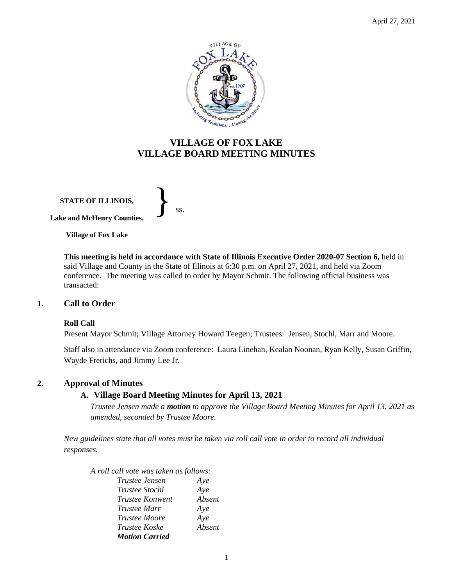

# **VILLAGE OF FOX LAKE VILLAGE BOARD MEETING MINUTES**

**STATE OF ILLINOIS, Lake and McHenry Counties,**  }<br>*ss.* 

**Village of Fox Lake**

**This meeting is held in accordance with State of Illinois Executive Order 2020-07 Section 6,** held in said Village and County in the State of Illinois at 6:30 p.m. on April 27, 2021, and held via Zoom conference. The meeting was called to order by Mayor Schmit. The following official business was transacted:

#### **1. Call to Order**

#### **Roll Call**

Present Mayor Schmit; Village Attorney Howard Teegen; Trustees: Jensen, Stochl, Marr and Moore.

Staff also in attendance via Zoom conference: Laura Linehan, Kealan Noonan, Ryan Kelly, Susan Griffin, Wayde Frerichs, and Jimmy Lee Jr.

#### **2. Approval of Minutes**

## **A. Village Board Meeting Minutes for April 13, 2021**

*Trustee Jensen made a motion to approve the Village Board Meeting Minutes for April 13, 2021 as amended, seconded by Trustee Moore.* 

*New guidelines state that all votes must be taken via roll call vote in order to record all individual responses.* 

*A roll call vote was taken as follows:* 

| <i>Trustee Jensen</i>  | Aye    |
|------------------------|--------|
| <i>Trustee Stochl</i>  | Aye    |
| <i>Trustee Konwent</i> | Absent |
| <i>Trustee Marr</i>    | Aye    |
| <i>Trustee Moore</i>   | Aye    |
| <i>Trustee Koske</i>   | Absent |
| <b>Motion Carried</b>  |        |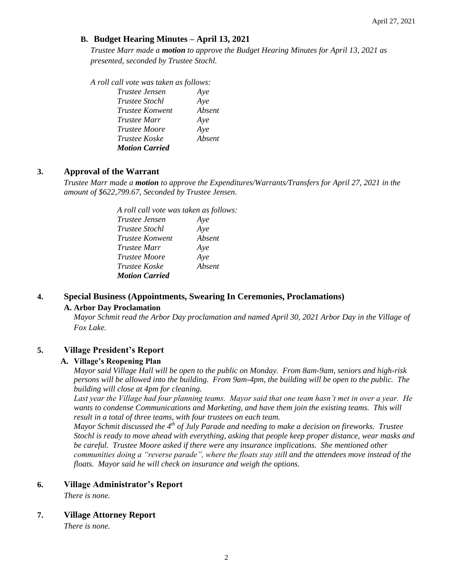## **B. Budget Hearing Minutes – April 13, 2021**

*Trustee Marr made a motion to approve the Budget Hearing Minutes for April 13, 2021 as presented, seconded by Trustee Stochl.* 

*A roll call vote was taken as follows:* 

| Trustee Jensen        | Aye    |
|-----------------------|--------|
| <b>Trustee Stochl</b> | Aye    |
| Trustee Konwent       | Absent |
| <i>Trustee Marr</i>   | Aye    |
| <i>Trustee Moore</i>  | Aye    |
| <i>Trustee Koske</i>  | Absent |
| <b>Motion Carried</b> |        |

### **3. Approval of the Warrant**

*Trustee Marr made a motion to approve the Expenditures/Warrants/Transfers for April 27, 2021 in the amount of \$622,799.67, Seconded by Trustee Jensen.*

> *A roll call vote was taken as follows: Trustee Jensen Aye Trustee Stochl Aye Trustee Konwent Absent Trustee Marr Aye Trustee Moore Aye Trustee Koske Absent Motion Carried*

## **4. Special Business (Appointments, Swearing In Ceremonies, Proclamations)**

#### **A. Arbor Day Proclamation**

*Mayor Schmit read the Arbor Day proclamation and named April 30, 2021 Arbor Day in the Village of Fox Lake.*

## **5. Village President's Report**

#### **A. Village's Reopening Plan**

*Mayor said Village Hall will be open to the public on Monday. From 8am-9am, seniors and high-risk persons will be allowed into the building. From 9am-4pm, the building will be open to the public. The building will close at 4pm for cleaning.* 

*Last year the Village had four planning teams. Mayor said that one team hasn't met in over a year. He wants to condense Communications and Marketing, and have them join the existing teams. This will result in a total of three teams, with four trustees on each team.* 

*Mayor Schmit discussed the 4th of July Parade and needing to make a decision on fireworks. Trustee Stochl is ready to move ahead with everything, asking that people keep proper distance, wear masks and be careful. Trustee Moore asked if there were any insurance implications. She mentioned other communities doing a "reverse parade", where the floats stay still and the attendees move instead of the floats. Mayor said he will check on insurance and weigh the options.* 

#### **6. Village Administrator's Report**

*There is none.*

#### **7. Village Attorney Report**

*There is none.*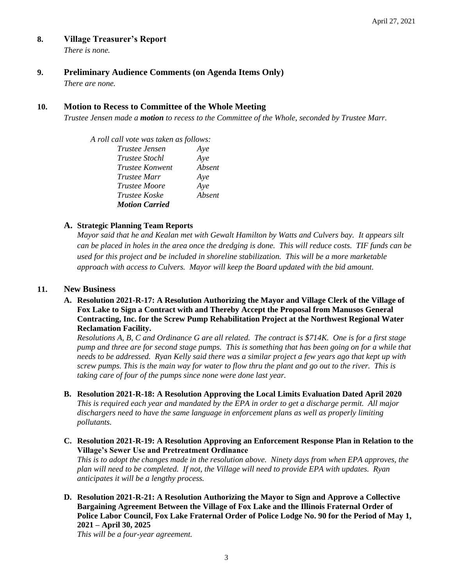### **8. Village Treasurer's Report**

*There is none.*

### **9. Preliminary Audience Comments (on Agenda Items Only)**

*There are none.* 

### **10. Motion to Recess to Committee of the Whole Meeting**

*Trustee Jensen made a motion to recess to the Committee of the Whole, seconded by Trustee Marr.* 

*A roll call vote was taken as follows: Trustee Jensen Aye Trustee Stochl Aye Trustee Konwent Absent Trustee Marr Aye Trustee Moore Aye Trustee Koske Absent Motion Carried*

#### **A. Strategic Planning Team Reports**

*Mayor said that he and Kealan met with Gewalt Hamilton by Watts and Culvers bay. It appears silt can be placed in holes in the area once the dredging is done. This will reduce costs. TIF funds can be used for this project and be included in shoreline stabilization. This will be a more marketable approach with access to Culvers. Mayor will keep the Board updated with the bid amount.* 

#### **11. New Business**

**A. Resolution 2021-R-17: A Resolution Authorizing the Mayor and Village Clerk of the Village of Fox Lake to Sign a Contract with and Thereby Accept the Proposal from Manusos General Contracting, Inc. for the Screw Pump Rehabilitation Project at the Northwest Regional Water Reclamation Facility.**

*Resolutions A, B, C and Ordinance G are all related. The contract is \$714K. One is for a first stage pump and three are for second stage pumps. This is something that has been going on for a while that needs to be addressed. Ryan Kelly said there was a similar project a few years ago that kept up with screw pumps. This is the main way for water to flow thru the plant and go out to the river. This is taking care of four of the pumps since none were done last year.* 

- **B. Resolution 2021-R-18: A Resolution Approving the Local Limits Evaluation Dated April 2020** *This is required each year and mandated by the EPA in order to get a discharge permit. All major dischargers need to have the same language in enforcement plans as well as properly limiting pollutants.*
- **C. Resolution 2021-R-19: A Resolution Approving an Enforcement Response Plan in Relation to the Village's Sewer Use and Pretreatment Ordinance**

*This is to adopt the changes made in the resolution above. Ninety days from when EPA approves, the plan will need to be completed. If not, the Village will need to provide EPA with updates. Ryan anticipates it will be a lengthy process.*

**D. Resolution 2021-R-21: A Resolution Authorizing the Mayor to Sign and Approve a Collective Bargaining Agreement Between the Village of Fox Lake and the Illinois Fraternal Order of Police Labor Council, Fox Lake Fraternal Order of Police Lodge No. 90 for the Period of May 1, 2021 – April 30, 2025**

*This will be a four-year agreement.*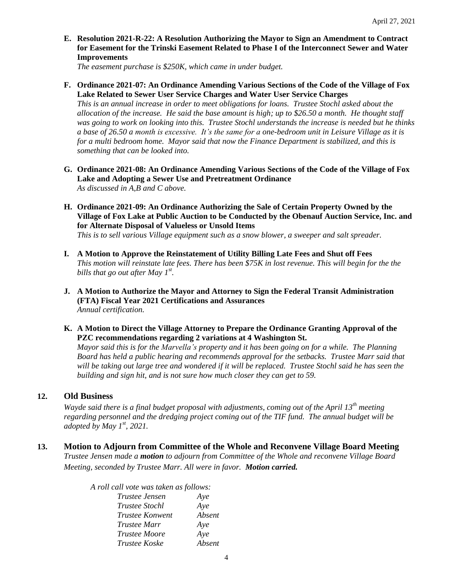**E. Resolution 2021-R-22: A Resolution Authorizing the Mayor to Sign an Amendment to Contract for Easement for the Trinski Easement Related to Phase I of the Interconnect Sewer and Water Improvements**

*The easement purchase is \$250K, which came in under budget.* 

#### **F. Ordinance 2021-07: An Ordinance Amending Various Sections of the Code of the Village of Fox Lake Related to Sewer User Service Charges and Water User Service Charges**

*This is an annual increase in order to meet obligations for loans. Trustee Stochl asked about the allocation of the increase. He said the base amount is high; up to \$26.50 a month. He thought staff was going to work on looking into this. Trustee Stochl understands the increase is needed but he thinks a base of 26.50 a month is excessive. It's the same for a one-bedroom unit in Leisure Village as it is for a multi bedroom home. Mayor said that now the Finance Department is stabilized, and this is something that can be looked into.* 

- **G. Ordinance 2021-08: An Ordinance Amending Various Sections of the Code of the Village of Fox Lake and Adopting a Sewer Use and Pretreatment Ordinance** *As discussed in A,B and C above.*
- **H. Ordinance 2021-09: An Ordinance Authorizing the Sale of Certain Property Owned by the Village of Fox Lake at Public Auction to be Conducted by the Obenauf Auction Service, Inc. and for Alternate Disposal of Valueless or Unsold Items**

*This is to sell various Village equipment such as a snow blower, a sweeper and salt spreader.*

- **I. A Motion to Approve the Reinstatement of Utility Billing Late Fees and Shut off Fees**  *This motion will reinstate late fees. There has been \$75K in lost revenue. This will begin for the the bills that go out after May 1st .*
- **J. A Motion to Authorize the Mayor and Attorney to Sign the Federal Transit Administration (FTA) Fiscal Year 2021 Certifications and Assurances** *Annual certification.*
- **K. A Motion to Direct the Village Attorney to Prepare the Ordinance Granting Approval of the PZC recommendations regarding 2 variations at 4 Washington St.**

*Mayor said this is for the Marvella's property and it has been going on for a while. The Planning Board has held a public hearing and recommends approval for the setbacks. Trustee Marr said that will be taking out large tree and wondered if it will be replaced. Trustee Stochl said he has seen the building and sign hit, and is not sure how much closer they can get to 59.* 

## **12. Old Business**

*Wayde said there is a final budget proposal with adjustments, coming out of the April 13th meeting regarding personnel and the dredging project coming out of the TIF fund. The annual budget will be adopted by May 1st, 2021.* 

**13. Motion to Adjourn from Committee of the Whole and Reconvene Village Board Meeting** *Trustee Jensen made a motion to adjourn from Committee of the Whole and reconvene Village Board Meeting, seconded by Trustee Marr. All were in favor. Motion carried.* 

| A roll call vote was taken as follows: |        |
|----------------------------------------|--------|
| <i>Trustee Jensen</i>                  | Aye    |
| <i>Trustee Stochl</i>                  | Aye    |
| <i>Trustee Konwent</i>                 | Absent |
| Trustee Marr                           | Aye    |
| <i>Trustee Moore</i>                   | Aye    |
| Trustee Koske                          | Absent |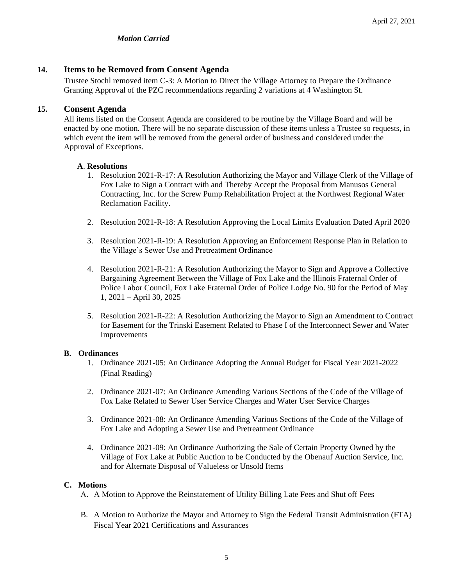## *Motion Carried*

### **14. Items to be Removed from Consent Agenda**

Trustee Stochl removed item C-3: A Motion to Direct the Village Attorney to Prepare the Ordinance Granting Approval of the PZC recommendations regarding 2 variations at 4 Washington St.

### **15. Consent Agenda**

All items listed on the Consent Agenda are considered to be routine by the Village Board and will be enacted by one motion. There will be no separate discussion of these items unless a Trustee so requests, in which event the item will be removed from the general order of business and considered under the Approval of Exceptions.

#### **A**. **Resolutions**

- 1. Resolution 2021-R-17: A Resolution Authorizing the Mayor and Village Clerk of the Village of Fox Lake to Sign a Contract with and Thereby Accept the Proposal from Manusos General Contracting, Inc. for the Screw Pump Rehabilitation Project at the Northwest Regional Water Reclamation Facility.
- 2. Resolution 2021-R-18: A Resolution Approving the Local Limits Evaluation Dated April 2020
- 3. Resolution 2021-R-19: A Resolution Approving an Enforcement Response Plan in Relation to the Village's Sewer Use and Pretreatment Ordinance
- 4. Resolution 2021-R-21: A Resolution Authorizing the Mayor to Sign and Approve a Collective Bargaining Agreement Between the Village of Fox Lake and the Illinois Fraternal Order of Police Labor Council, Fox Lake Fraternal Order of Police Lodge No. 90 for the Period of May 1, 2021 – April 30, 2025
- 5. Resolution 2021-R-22: A Resolution Authorizing the Mayor to Sign an Amendment to Contract for Easement for the Trinski Easement Related to Phase I of the Interconnect Sewer and Water Improvements

#### **B. Ordinances**

- 1. Ordinance 2021-05: An Ordinance Adopting the Annual Budget for Fiscal Year 2021-2022 (Final Reading)
- 2. Ordinance 2021-07: An Ordinance Amending Various Sections of the Code of the Village of Fox Lake Related to Sewer User Service Charges and Water User Service Charges
- 3. Ordinance 2021-08: An Ordinance Amending Various Sections of the Code of the Village of Fox Lake and Adopting a Sewer Use and Pretreatment Ordinance
- 4. Ordinance 2021-09: An Ordinance Authorizing the Sale of Certain Property Owned by the Village of Fox Lake at Public Auction to be Conducted by the Obenauf Auction Service, Inc. and for Alternate Disposal of Valueless or Unsold Items

#### **C. Motions**

- A. A Motion to Approve the Reinstatement of Utility Billing Late Fees and Shut off Fees
- B. A Motion to Authorize the Mayor and Attorney to Sign the Federal Transit Administration (FTA) Fiscal Year 2021 Certifications and Assurances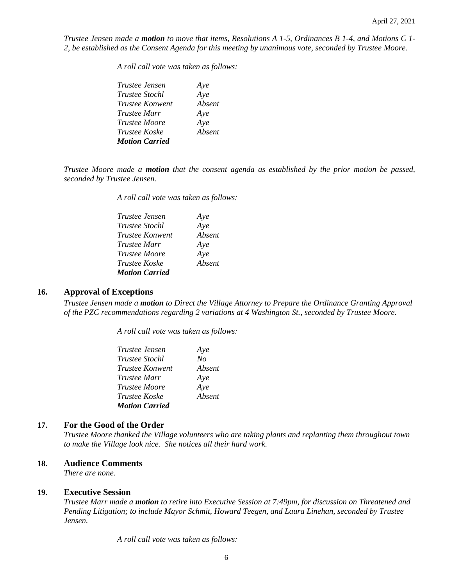*Trustee Jensen made a motion to move that items, Resolutions A 1-5, Ordinances B 1-4, and Motions C 1- 2, be established as the Consent Agenda for this meeting by unanimous vote, seconded by Trustee Moore.*

*A roll call vote was taken as follows:* 

| <i>Trustee Jensen</i> | Aye    |
|-----------------------|--------|
| <i>Trustee Stochl</i> | Aye    |
| Trustee Konwent       | Absent |
| <i>Trustee Marr</i>   | Aye    |
| <i>Trustee Moore</i>  | Aye    |
| <i>Trustee Koske</i>  | Absent |
| <b>Motion Carried</b> |        |

*Trustee Moore made a motion that the consent agenda as established by the prior motion be passed, seconded by Trustee Jensen.*

*A roll call vote was taken as follows:* 

| <i>Trustee Jensen</i> | Aye    |
|-----------------------|--------|
| <i>Trustee Stochl</i> | Aye    |
| Trustee Konwent       | Absent |
| <i>Trustee Marr</i>   | Aye    |
| <i>Trustee Moore</i>  | Aye    |
| Trustee Koske         | Absent |
| <b>Motion Carried</b> |        |

#### **16. Approval of Exceptions**

*Trustee Jensen made a motion to Direct the Village Attorney to Prepare the Ordinance Granting Approval of the PZC recommendations regarding 2 variations at 4 Washington St., seconded by Trustee Moore.*

*A roll call vote was taken as follows:* 

| <i>Trustee Jensen</i>  | Aye    |
|------------------------|--------|
| <i>Trustee Stochl</i>  | No     |
| <i>Trustee Konwent</i> | Absent |
| <i>Trustee Marr</i>    | Aye    |
| <i>Trustee Moore</i>   | Aye    |
| <i>Trustee Koske</i>   | Absent |
| <b>Motion Carried</b>  |        |

#### **17. For the Good of the Order**

*Trustee Moore thanked the Village volunteers who are taking plants and replanting them throughout town to make the Village look nice. She notices all their hard work.* 

#### **18. Audience Comments**

*There are none.* 

#### **19. Executive Session**

*Trustee Marr made a motion to retire into Executive Session at 7:49pm, for discussion on Threatened and Pending Litigation; to include Mayor Schmit, Howard Teegen, and Laura Linehan, seconded by Trustee Jensen.*

*A roll call vote was taken as follows:*